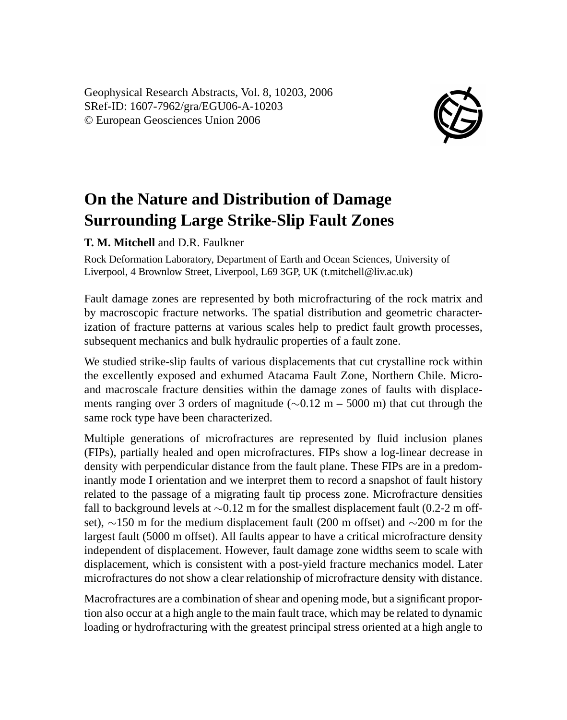Geophysical Research Abstracts, Vol. 8, 10203, 2006 SRef-ID: 1607-7962/gra/EGU06-A-10203 © European Geosciences Union 2006



## **On the Nature and Distribution of Damage Surrounding Large Strike-Slip Fault Zones**

**T. M. Mitchell** and D.R. Faulkner

Rock Deformation Laboratory, Department of Earth and Ocean Sciences, University of Liverpool, 4 Brownlow Street, Liverpool, L69 3GP, UK (t.mitchell@liv.ac.uk)

Fault damage zones are represented by both microfracturing of the rock matrix and by macroscopic fracture networks. The spatial distribution and geometric characterization of fracture patterns at various scales help to predict fault growth processes, subsequent mechanics and bulk hydraulic properties of a fault zone.

We studied strike-slip faults of various displacements that cut crystalline rock within the excellently exposed and exhumed Atacama Fault Zone, Northern Chile. Microand macroscale fracture densities within the damage zones of faults with displacements ranging over 3 orders of magnitude (∼0.12 m – 5000 m) that cut through the same rock type have been characterized.

Multiple generations of microfractures are represented by fluid inclusion planes (FIPs), partially healed and open microfractures. FIPs show a log-linear decrease in density with perpendicular distance from the fault plane. These FIPs are in a predominantly mode I orientation and we interpret them to record a snapshot of fault history related to the passage of a migrating fault tip process zone. Microfracture densities fall to background levels at ∼0.12 m for the smallest displacement fault (0.2-2 m offset), ∼150 m for the medium displacement fault (200 m offset) and ∼200 m for the largest fault (5000 m offset). All faults appear to have a critical microfracture density independent of displacement. However, fault damage zone widths seem to scale with displacement, which is consistent with a post-yield fracture mechanics model. Later microfractures do not show a clear relationship of microfracture density with distance.

Macrofractures are a combination of shear and opening mode, but a significant proportion also occur at a high angle to the main fault trace, which may be related to dynamic loading or hydrofracturing with the greatest principal stress oriented at a high angle to